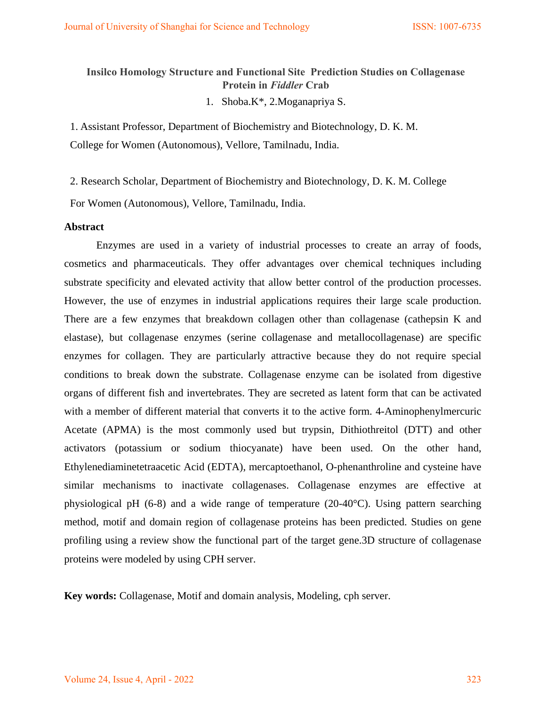# **Insilco Homology Structure and Functional Site Prediction Studies on Collagenase Protein in** *Fiddler* **Crab**

1. Shoba.K\*, 2.Moganapriya S.

1. Assistant Professor, Department of Biochemistry and Biotechnology, D. K. M. College for Women (Autonomous), Vellore, Tamilnadu, India.

2. Research Scholar, Department of Biochemistry and Biotechnology, D. K. M. College

For Women (Autonomous), Vellore, Tamilnadu, India.

#### **Abstract**

Enzymes are used in a variety of industrial processes to create an array of foods, cosmetics and pharmaceuticals. They offer advantages over chemical techniques including substrate specificity and elevated activity that allow better control of the production processes. However, the use of enzymes in industrial applications requires their large scale production. There are a few enzymes that breakdown collagen other than collagenase (cathepsin K and elastase), but collagenase enzymes (serine collagenase and metallocollagenase) are specific enzymes for collagen. They are particularly attractive because they do not require special conditions to break down the substrate. Collagenase enzyme can be isolated from digestive organs of different fish and invertebrates. They are secreted as latent form that can be activated with a member of different material that converts it to the active form. 4-Aminophenylmercuric Acetate (APMA) is the most commonly used but trypsin, Dithiothreitol (DTT) and other activators (potassium or sodium thiocyanate) have been used. On the other hand, Ethylenediaminetetraacetic Acid (EDTA), mercaptoethanol, O-phenanthroline and cysteine have similar mechanisms to inactivate collagenases. Collagenase enzymes are effective at physiological pH (6-8) and a wide range of temperature (20-40°C). Using pattern searching method, motif and domain region of collagenase proteins has been predicted. Studies on gene profiling using a review show the functional part of the target gene.3D structure of collagenase proteins were modeled by using CPH server.

**Key words:** Collagenase, Motif and domain analysis, Modeling, cph server.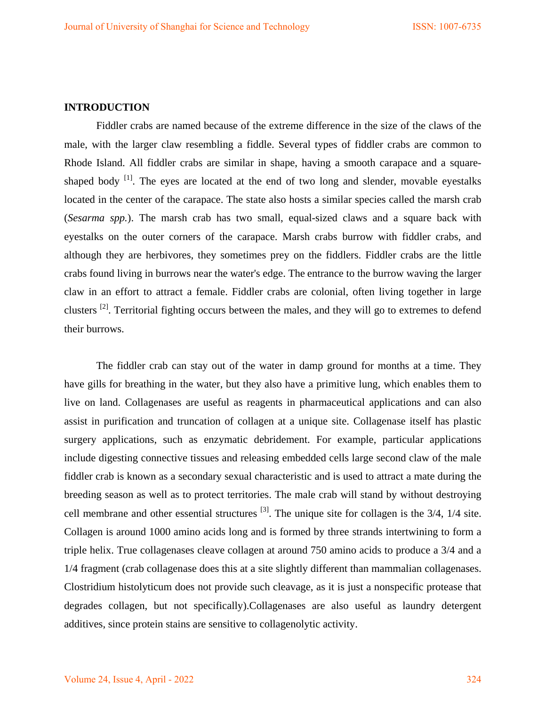# **INTRODUCTION**

Fiddler crabs are named because of the extreme difference in the size of the claws of the male, with the larger claw resembling a fiddle. Several types of fiddler crabs are common to Rhode Island. All fiddler crabs are similar in shape, having a smooth carapace and a squareshaped body  $\left[1\right]$ . The eyes are located at the end of two long and slender, movable eyestalks located in the center of the carapace. The state also hosts a similar species called the marsh crab (*Sesarma spp.*). The marsh crab has two small, equal-sized claws and a square back with eyestalks on the outer corners of the carapace. Marsh crabs burrow with fiddler crabs, and although they are herbivores, they sometimes prey on the fiddlers. Fiddler crabs are the little crabs found living in burrows near the water's edge. The entrance to the burrow waving the larger claw in an effort to attract a female. Fiddler crabs are colonial, often living together in large clusters [2]. Territorial fighting occurs between the males, and they will go to extremes to defend their burrows.

The fiddler crab can stay out of the water in damp ground for months at a time. They have gills for breathing in the water, but they also have a primitive lung, which enables them to live on land. Collagenases are useful as reagents in pharmaceutical applications and can also assist in purification and truncation of collagen at a unique site. Collagenase itself has plastic surgery applications, such as enzymatic debridement. For example, particular applications include digesting connective tissues and releasing embedded cells large second claw of the male fiddler crab is known as a secondary sexual characteristic and is used to attract a mate during the breeding season as well as to protect territories. The male crab will stand by without destroying cell membrane and other essential structures  $^{[3]}$ . The unique site for collagen is the  $3/4$ ,  $1/4$  site. Collagen is around 1000 amino acids long and is formed by three strands intertwining to form a triple helix. True collagenases cleave collagen at around 750 amino acids to produce a 3/4 and a 1/4 fragment (crab collagenase does this at a site slightly different than mammalian collagenases. Clostridium histolyticum does not provide such cleavage, as it is just a nonspecific protease that degrades collagen, but not specifically).Collagenases are also useful as laundry detergent additives, since protein stains are sensitive to collagenolytic activity.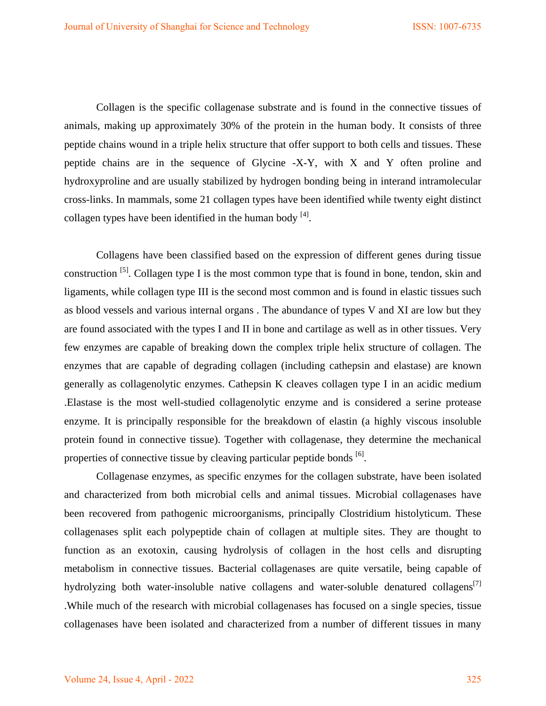Collagen is the specific collagenase substrate and is found in the connective tissues of animals, making up approximately 30% of the protein in the human body. It consists of three peptide chains wound in a triple helix structure that offer support to both cells and tissues. These peptide chains are in the sequence of Glycine -X-Y, with X and Y often proline and hydroxyproline and are usually stabilized by hydrogen bonding being in interand intramolecular cross-links. In mammals, some 21 collagen types have been identified while twenty eight distinct collagen types have been identified in the human body  $[4]$ .

Collagens have been classified based on the expression of different genes during tissue construction [5]. Collagen type I is the most common type that is found in bone, tendon, skin and ligaments, while collagen type III is the second most common and is found in elastic tissues such as blood vessels and various internal organs . The abundance of types V and XI are low but they are found associated with the types I and II in bone and cartilage as well as in other tissues. Very few enzymes are capable of breaking down the complex triple helix structure of collagen. The enzymes that are capable of degrading collagen (including cathepsin and elastase) are known generally as collagenolytic enzymes. Cathepsin K cleaves collagen type I in an acidic medium .Elastase is the most well-studied collagenolytic enzyme and is considered a serine protease enzyme. It is principally responsible for the breakdown of elastin (a highly viscous insoluble protein found in connective tissue). Together with collagenase, they determine the mechanical properties of connective tissue by cleaving particular peptide bonds [6].

Collagenase enzymes, as specific enzymes for the collagen substrate, have been isolated and characterized from both microbial cells and animal tissues. Microbial collagenases have been recovered from pathogenic microorganisms, principally Clostridium histolyticum. These collagenases split each polypeptide chain of collagen at multiple sites. They are thought to function as an exotoxin, causing hydrolysis of collagen in the host cells and disrupting metabolism in connective tissues. Bacterial collagenases are quite versatile, being capable of hydrolyzing both water-insoluble native collagens and water-soluble denatured collagens<sup>[7]</sup> .While much of the research with microbial collagenases has focused on a single species, tissue collagenases have been isolated and characterized from a number of different tissues in many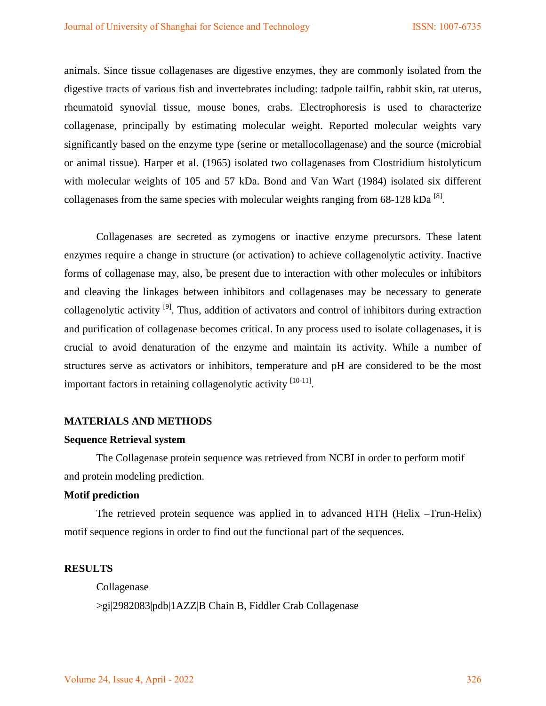animals. Since tissue collagenases are digestive enzymes, they are commonly isolated from the digestive tracts of various fish and invertebrates including: tadpole tailfin, rabbit skin, rat uterus, rheumatoid synovial tissue, mouse bones, crabs. Electrophoresis is used to characterize collagenase, principally by estimating molecular weight. Reported molecular weights vary significantly based on the enzyme type (serine or metallocollagenase) and the source (microbial or animal tissue). Harper et al. (1965) isolated two collagenases from Clostridium histolyticum with molecular weights of 105 and 57 kDa. Bond and Van Wart (1984) isolated six different collagenases from the same species with molecular weights ranging from  $68-128$  kDa  $^{8}$ .

Collagenases are secreted as zymogens or inactive enzyme precursors. These latent enzymes require a change in structure (or activation) to achieve collagenolytic activity. Inactive forms of collagenase may, also, be present due to interaction with other molecules or inhibitors and cleaving the linkages between inhibitors and collagenases may be necessary to generate collagenolytic activity  $^{[9]}$ . Thus, addition of activators and control of inhibitors during extraction and purification of collagenase becomes critical. In any process used to isolate collagenases, it is crucial to avoid denaturation of the enzyme and maintain its activity. While a number of structures serve as activators or inhibitors, temperature and pH are considered to be the most important factors in retaining collagenolytic activity  $[10-11]$ .

### **MATERIALS AND METHODS**

### **Sequence Retrieval system**

The Collagenase protein sequence was retrieved from NCBI in order to perform motif and protein modeling prediction.

## **Motif prediction**

The retrieved protein sequence was applied in to advanced HTH (Helix –Trun-Helix) motif sequence regions in order to find out the functional part of the sequences.

#### **RESULTS**

Collagenase >gi|2982083|pdb|1AZZ|B Chain B, Fiddler Crab Collagenase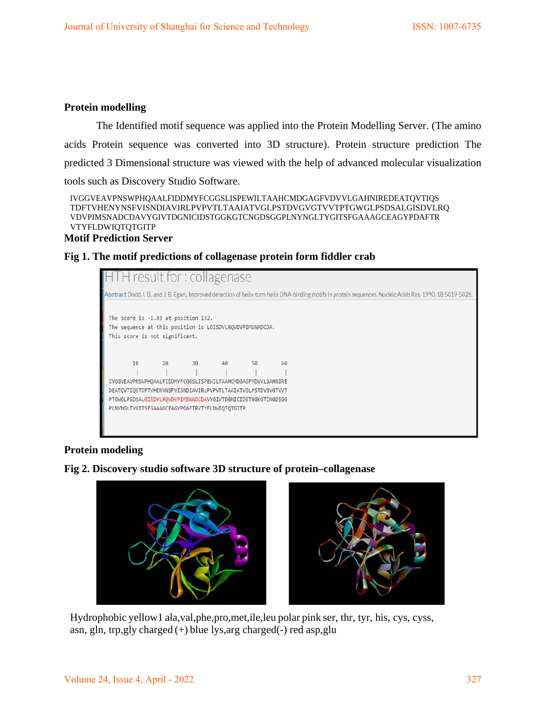# **Protein modelling**

The Identified motif sequence was applied into the Protein Modelling Server. (The amino acids Protein sequence was converted into 3D structure). Protein structure prediction The predicted 3 Dimensional structure was viewed with the help of advanced molecular visualization tools such as Discovery Studio Software.

```
IVGGVEAVPNSWPHQAALFIDDMYFCGGSLISPEWILTAAHCMDGAGFVDVVLGAHNIREDEATQVTIQS 
TDFTVHENYNSFVISNDIAVIRLPVPVTLTAAIATVGLPSTDVGVGTVVTPTGWGLPSDSALGISDVLRQ 
VDVPIMSNADCDAVYGIVTDGNICIDSTGGKGTCNGDSGGPLNYNGLTYGITSFGAAAGCEAGYPDAFTR 
VTYFLDWIQTQTGITP
```
# **Motif Prediction Server**

# **Fig 1. The motif predictions of collagenase protein form fiddler crab**



# **Protein modeling**





Hydrophobic yellow1 ala,val,phe,pro,met,ile,leu polar pink ser, thr, tyr, his, cys, cyss, asn, gln, trp,gly charged (+) blue lys,arg charged(-) red asp,glu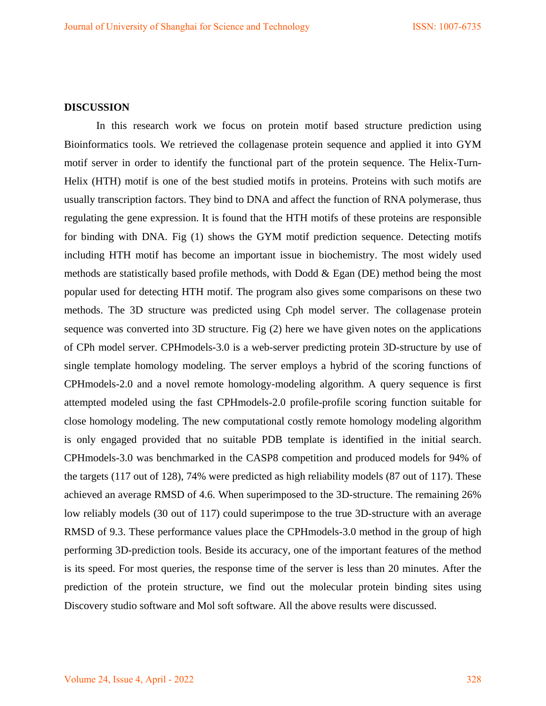# **DISCUSSION**

In this research work we focus on protein motif based structure prediction using Bioinformatics tools. We retrieved the collagenase protein sequence and applied it into GYM motif server in order to identify the functional part of the protein sequence. The Helix-Turn-Helix (HTH) motif is one of the best studied motifs in proteins. Proteins with such motifs are usually transcription factors. They bind to DNA and affect the function of RNA polymerase, thus regulating the gene expression. It is found that the HTH motifs of these proteins are responsible for binding with DNA. Fig (1) shows the GYM motif prediction sequence. Detecting motifs including HTH motif has become an important issue in biochemistry. The most widely used methods are statistically based profile methods, with Dodd & Egan (DE) method being the most popular used for detecting HTH motif. The program also gives some comparisons on these two methods. The 3D structure was predicted using Cph model server. The collagenase protein sequence was converted into 3D structure. Fig (2) here we have given notes on the applications of CPh model server. CPHmodels-3.0 is a web-server predicting protein 3D-structure by use of single template homology modeling. The server employs a hybrid of the scoring functions of CPHmodels-2.0 and a novel remote homology-modeling algorithm. A query sequence is first attempted modeled using the fast CPHmodels-2.0 profile-profile scoring function suitable for close homology modeling. The new computational costly remote homology modeling algorithm is only engaged provided that no suitable PDB template is identified in the initial search. CPHmodels-3.0 was benchmarked in the CASP8 competition and produced models for 94% of the targets (117 out of 128), 74% were predicted as high reliability models (87 out of 117). These achieved an average RMSD of 4.6. When superimposed to the 3D-structure. The remaining 26% low reliably models (30 out of 117) could superimpose to the true 3D-structure with an average RMSD of 9.3. These performance values place the CPHmodels-3.0 method in the group of high performing 3D-prediction tools. Beside its accuracy, one of the important features of the method is its speed. For most queries, the response time of the server is less than 20 minutes. After the prediction of the protein structure, we find out the molecular protein binding sites using Discovery studio software and Mol soft software. All the above results were discussed.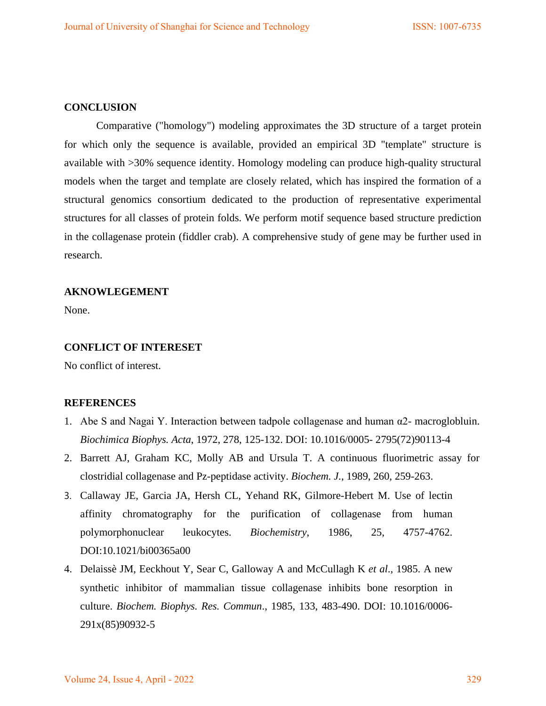## **CONCLUSION**

Comparative ("homology") modeling approximates the 3D structure of a target protein for which only the sequence is available, provided an empirical 3D "template" structure is available with >30% sequence identity. Homology modeling can produce high-quality structural models when the target and template are closely related, which has inspired the formation of a structural genomics consortium dedicated to the production of representative experimental structures for all classes of protein folds. We perform motif sequence based structure prediction in the collagenase protein (fiddler crab). A comprehensive study of gene may be further used in research.

# **AKNOWLEGEMENT**

None.

#### **CONFLICT OF INTERESET**

No conflict of interest.

#### **REFERENCES**

- 1. Abe S and Nagai Y. Interaction between tadpole collagenase and human  $\alpha$ 2- macroglobluin. *Biochimica Biophys. Acta*, 1972, 278, 125-132. DOI: 10.1016/0005- 2795(72)90113-4
- 2. Barrett AJ, Graham KC, Molly AB and Ursula T. A continuous fluorimetric assay for clostridial collagenase and Pz-peptidase activity. *Biochem. J.*, 1989, 260, 259-263.
- 3. Callaway JE, Garcia JA, Hersh CL, Yehand RK, Gilmore-Hebert M. Use of lectin affinity chromatography for the purification of collagenase from human polymorphonuclear leukocytes. *Biochemistry*, 1986, 25, 4757-4762. DOI:10.1021/bi00365a00
- 4. Delaissè JM, Eeckhout Y, Sear C, Galloway A and McCullagh K *et al*., 1985. A new synthetic inhibitor of mammalian tissue collagenase inhibits bone resorption in culture. *Biochem. Biophys. Res. Commun*., 1985, 133, 483-490. DOI: 10.1016/0006- 291x(85)90932-5